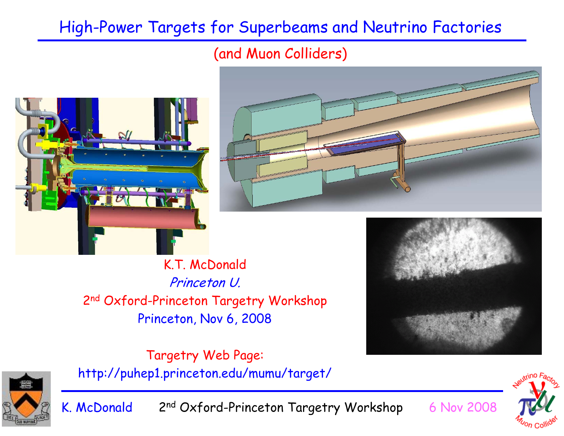#### High-Power Targets for Superbeams and Neutrino Factories

#### (and Muon Colliders)

K. McDonald 2nd Oxford-Princeton Targetry Workshop 6 Nov 2008





K.T. McDonald Princeton U. 2n<sup>d</sup> Oxford-Princeton Targetry Workshop Princeton, Nov 6, 2008





Targetry Web Page: http://puhep1.princeton.edu/mumu/target/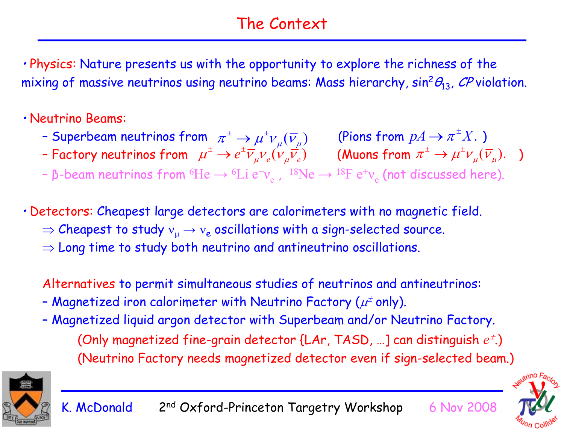#### The Context

• Physics: Nature presents us with the opportunity to explore the richness of the mixing of massive neutrinos using neutrino beams: Mass hierarchy,  $sin^2\theta_{13}$ , CP violation.

#### • Neutrino Beams:

- Superbeam neutrinos from  $\ \pi^\pm\to\mu^\pm\nu_{\shortparallel}(\overline{\nu}_{\shortparallel})\qquad$  (Pions from  $pA\to\pi^\pm X.$  )  $\pi^{\pm} \to \mu^{\pm} \nu_{\mu}(\overline{\nu}_{\mu})$  (Pions from  $pA \to \pi^{\pm} X$ .
- Factory neutrinos from  $\ \mu^{\pm} \to e^{\pm} \overline V_{\mu} V_{e} (V_{\mu} \overline V_{e}) \qquad$  (Muons from  $\pi^{\pm} \to \mu^{\pm} \nu_{\mu} (\overline V_{\mu}).$  )  $\mu^\pm \to e^\pm \overline{\nu}_\mu \overline{\nu}_e (\overline{\nu}_\mu \overline{\nu_e})$  (Muons from  $\pi^\pm \to \mu^\pm \overline{\nu}_\mu (\overline{\nu}_\mu).$
- β-beam neutrinos from  $^6{\rm He} \to {}^6{\rm Li}~{\rm e}^-$ ν $_{\rm e}$  ,  $~^{18}{\rm Ne} \to {}^{18}{\rm F}~{\rm e}^+$ ν $_{\rm e}$  (not discussed here).

• Detectors: Cheapest large detectors are calorimeters with no magnetic field.

- $\Rightarrow$  Cheapest to study  ${\rm v}_{\mu} \rightarrow {\rm v}_{\rm e}$  oscillations with a sign-selected source.
- $\Rightarrow$  Long time to study both neutrino and antineutrino oscillations.

Alternatives to permit simultaneous studies of neutrinos and antineutrinos:

- Magnetized iron calorimeter with Neutrino Factory ( $\mu^{\scriptscriptstyle\pm}$  only).
- Magnetized liquid argon detector with Superbeam and/or Neutrino Factory. (Only magnetized fine-grain detector {LAr, TASD, ...] can distinguish  $e^{\pm}$ .) (Neutrino Factory needs magnetized detector even if sign-selected beam.)



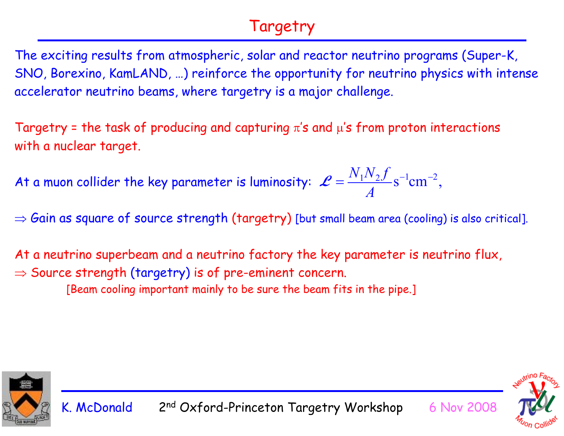#### Targetry

The exciting results from atmospheric, solar and reactor neutrino programs (Super-K, SNO, Borexino, KamLAND, …) reinforce the opportunity for neutrino physics with intense accelerator neutrino beams, where targetry is a major challenge.

Targetry = the task of producing and capturing  $\pi$ 's and  $\mu$ 's from proton interactions with a nuclear target.

At a muon collider the key parameter is luminosity:  $\mathscr{L} = \frac{\mathscr{L} \vee \mathscr{L} \vee \mathscr{L} \vee \mathscr{L} \vee \mathscr{L} \vee \mathscr{L} \vee \mathscr{L} \vee \mathscr{L} \vee \mathscr{L} \vee \mathscr{L} \vee \mathscr{L} \vee \mathscr{L} \vee \mathscr{L} \vee \mathscr{L} \vee \mathscr{L} \vee \mathscr{L} \vee \mathscr{L} \vee \mathscr{L}$  $\mathcal{L} = \frac{N_1 N_2 f}{A} s^{-1} \text{cm}^{-2},$ 

 $\Rightarrow$  Gain as square of source strength (targetry) [but small beam area (cooling) is also critical].

At a neutrino superbeam and a neutrino factory the key parameter is neutrino flux,

 $\Rightarrow$  Source strength (targetry) is of pre-eminent concern.

[Beam cooling important mainly to be sure the beam fits in the pipe.]



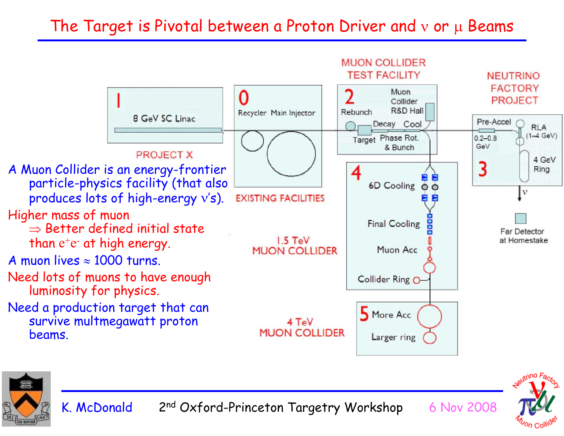#### The Target is Pivotal between a Proton Driver and  $v$  or  $\mu$  Beams





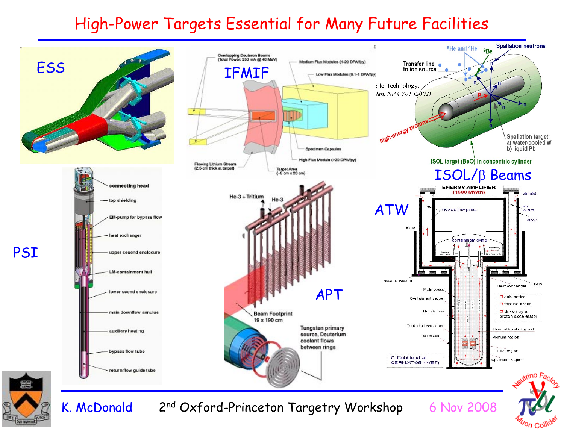#### High-Power Targets Essential for Many Future Facilities

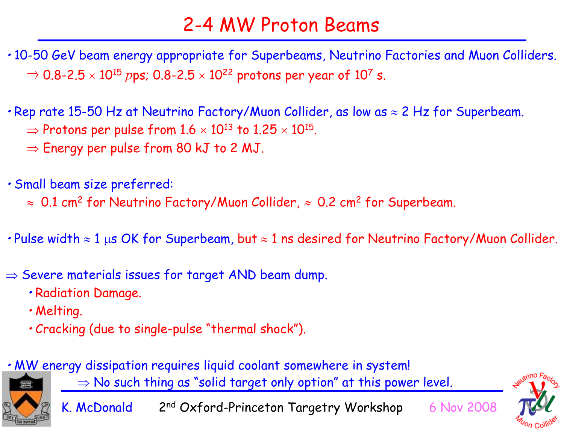### 2-4 MW Proton Beams

- 10-50 GeV beam energy appropriate for Superbeams, Neutrino Factories and Muon Colliders.  $\Rightarrow$  0.8-2.5  $\times$  10<sup>15</sup>  $p$ ps; 0.8-2.5  $\times$  10<sup>22</sup> protons per year of 10<sup>7</sup> s.
- Rep rate 15-50 Hz at Neutrino Factory/Muon Collider, as low as  $\approx$  2 Hz for Superbeam.  $\Rightarrow$  Protons per pulse from 1.6  $\times$  10 $^{13}$  to 1.25  $\times$  10 $^{15}$ .
	- $\Rightarrow$  Energy per pulse from 80 kJ to 2 MJ.
- Small beam size preferred:
	- $\approx$  0.1 cm $^2$  for Neutrino Factory/Muon Collider,  $\approx$  0.2 cm $^2$  for Superbeam.
- $\bm{\cdot}$  Pulse width  $\approx 1$  μs OK for Superbeam, but  $\approx 1$  ns desired for Neutrino Factory/Muon Collider.
- $\Rightarrow$  Severe materials issues for target AND beam dump.
	- Radiation Damage.
	- Melting.
	- Cracking (due to single-pulse "thermal shock").
- MW energy dissipation requires liquid coolant somewhere in system!



 $\Rightarrow$  No such thing as "solid target only option" at this power level.

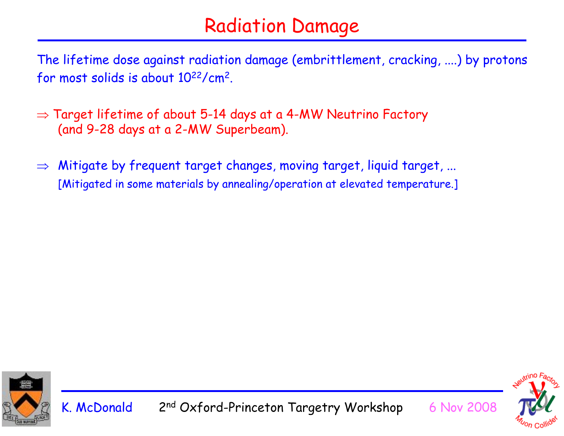### Radiation Damage

The lifetime dose against radiation damage (embrittlement, cracking, ....) by protons for most solids is about 1022/cm2.

- $\Rightarrow$  Target lifetime of about 5-14 days at a 4-MW Neutrino Factory  $\,$ (and 9-28 days at a 2-MW Superbeam).
- ⇒ Mitigate by frequent target changes, moving target, liquid target, ... [Mitigated in some materials by annealing/operation at elevated temperature.]



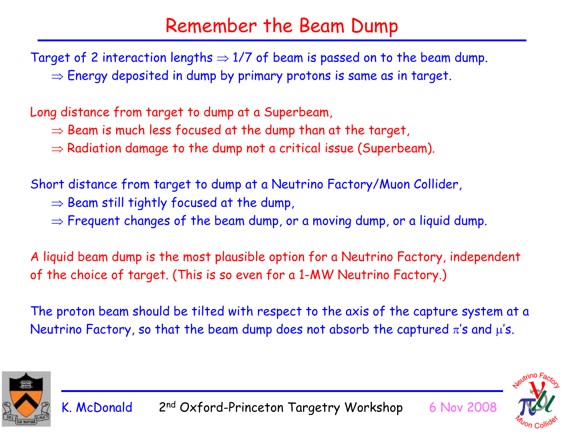#### Remember the Beam Dump

Target of 2 interaction lengths  $\Rightarrow$  1/7 of beam is passed on to the beam dump.  $\Rightarrow$  Energy deposited in dump by primary protons is same as in target.

Long distance from target to dump at a Superbeam,

- $\Rightarrow$  Beam is much less focused at the dump than at the target,
- $\Rightarrow$  Radiation damage to the dump not a critical issue (Superbeam).

Short distance from target to dump at a Neutrino Factory/Muon Collider,

- $\Rightarrow$  Beam still tightly focused at the dump,
- $\Rightarrow$  Frequent changes of the beam dump, or a moving dump, or a liquid dump.

A liquid beam dump is the most plausible option for a Neutrino Factory, independent of the choice of target. (This is so even for a 1-MW Neutrino Factory.)

The proton beam should be tilted with respect to the axis of the capture system at a Neutrino Factory, so that the beam dump does not absorb the captured  $\pi$ 's and  $\mu$ 's.



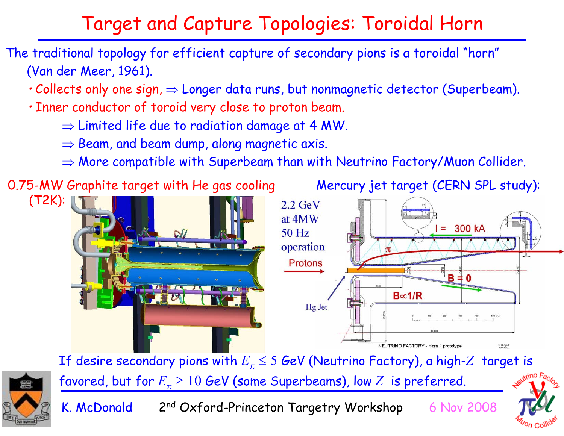## Target and Capture Topologies: Toroidal Horn

- The traditional topology for efficient capture of secondary pions is a toroidal "horn" (Van der Meer, 1961).
	- Collects only one sign,  $\Rightarrow$  Longer data runs, but nonmagnetic detector (Superbeam).
	- Inner conductor of toroid very close to proton beam.
		- $\Rightarrow$  Limited life due to radiation damage at 4 MW.
		- $\Rightarrow$  Beam, and beam dump, along magnetic axis.
		- $\Rightarrow$  More compatible with Superbeam than with Neutrino Factory/Muon Collider.



If desire secondary pions with *E*π <sup>≤</sup> <sup>5</sup> GeV (Neutrino Factory), a high-*<sup>Z</sup>* target is favored, but for  $E_{\pi}$   $\geq 10$  GeV (some Superbeams), low  $Z\;$  is preferred.



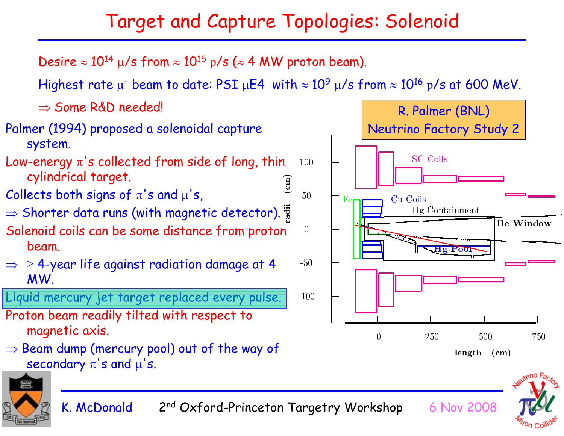## Target and Capture Topologies: Solenoid

Desire  $\approx 10^{14}$   $\mu/s$  from  $\approx 10^{15}$  p/s ( $\approx 4$  MW proton beam).

Highest rate  $\mu^+$  beam to date: PSI  $\mu$ E4 with  $\approx 10^9$   $\mu/s$  from  $\approx 10^{16}$  p/s at 600 MeV.

⇒ Some R&D needed!





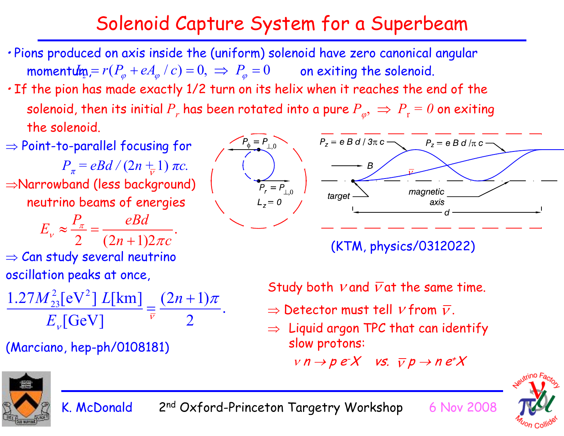### Solenoid Capture System for a Superbeam

- Pions produced on axis inside the (uniform) solenoid have zero canonical angular momentum =  $r(P_\varphi + eA_\varphi \mid c) = 0, \implies P_\varphi = 0$  on exiting the solenoid.
- If the pion has made exactly 1/2 turn on its helix when it reaches the end of the solenoid, then its initial  $P_r$  has been rotated into a pure  $P_\varphi,\,\Rightarrow\,P_\mathrm{r}=0$  on exiting the solenoid.

 $\Rightarrow$  Point-to-parallel focusing for

*P*<sub>π</sub> = eBd / (2n + 1) πc. <sup>⇒</sup>Narrowband (less background) neutrino beams of energies  $\overline{\rho}$ *Rd* 

$$
E_v \approx \frac{z}{2} = \frac{z}{(2n+1)2\pi c}.
$$

 $\Rightarrow$  Can study several neutrino oscillation peaks at once,

$$
\frac{1.27M_{23}^2 \text{[eV}^2 \text{]} L \text{[km]}}{E_v \text{[GeV]}} = \frac{(2n+1)\pi}{2}.
$$

(Marciano, hep-ph/0108181)



(KTM, physics/0312022)

Study both  $\nu$  and  $\overline{\nu}$ at the same time.

- $\Rightarrow$  Detector must tell  $\mathit{v}$  from  $\overline{\mathit{v}}$  .
- $\Rightarrow$  Liquid argon TPC that can identify  $\Rightarrow$ slow protons:

 $v \nrightarrow p e X$  vs.  $\overline{v} p \rightarrow n e^{\overline{t}} X$ 





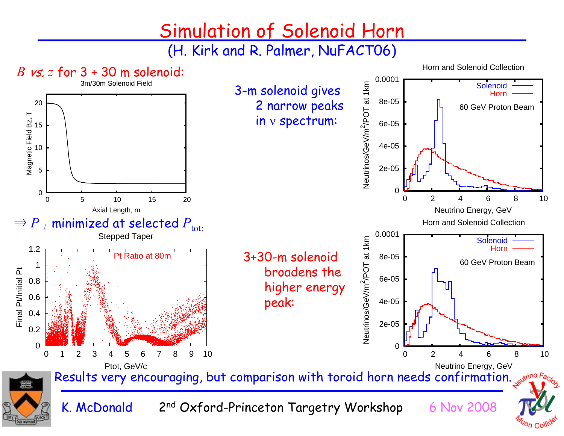### Simulation of Solenoid Horn

(H. Kirk and R. Palmer, NuFACT06)

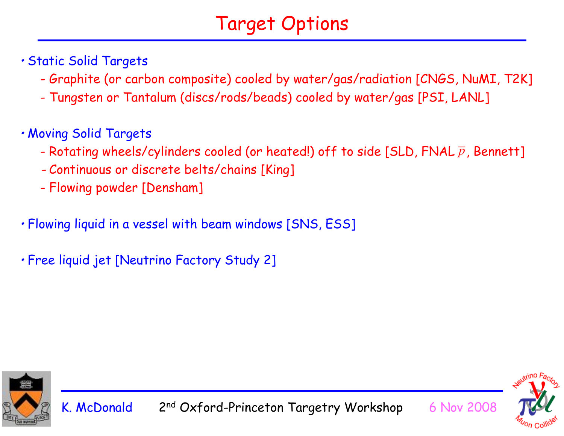# Target Options

- Static Solid Targets
	- -Graphite (or carbon composite) cooled by water/gas/radiation [CNGS, NuMI, T2K]
	- -Tungsten or Tantalum (discs/rods/beads) cooled by water/gas [PSI, LANL]
- Moving Solid Targets
	- -Rotating wheels/cylinders cooled (or heated!) off to side [SLD, FNAL  $\overline{p}$  , Bennett]
	- -Continuous or discrete belts/chains [King]
	- -Flowing powder [Densham]
- Flowing liquid in a vessel with beam windows [SNS, ESS]
- Free liquid jet [Neutrino Factory Study 2]



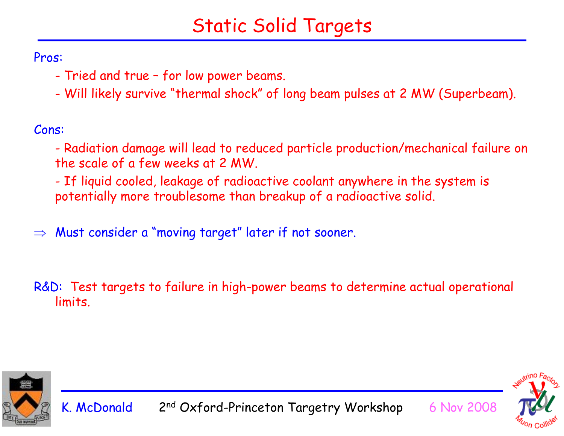## Static Solid Targets

Pros:

- -Tried and true – for low power beams.
- -Will likely survive "thermal shock" of long beam pulses at 2 MW (Superbeam).

Cons:

- Radiation damage will lead to reduced particle production/mechanical failure on the scale of a few weeks at 2 MW.

- If liquid cooled, leakage of radioactive coolant anywhere in the system is potentially more troublesome than breakup of a radioactive solid.

⇒Must consider a "moving target" later if not sooner.

R&D: Test targets to failure in high-power beams to determine actual operational limits.



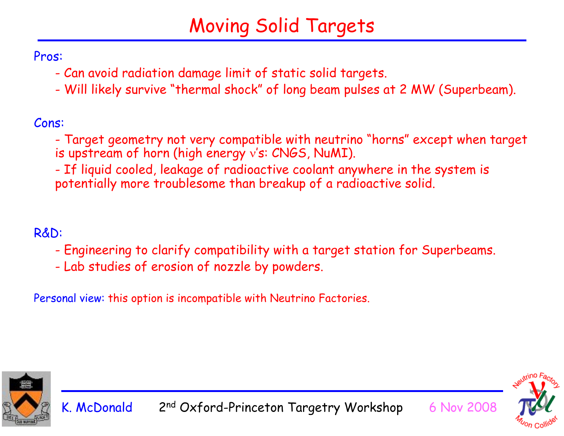# Moving Solid Targets

Pros:

- -Can avoid radiation damage limit of static solid targets.
- -Will likely survive "thermal shock" of long beam pulses at 2 MW (Superbeam).

Cons:

- Target geometry not very compatible with neutrino "horns" except when target is upstream of horn (high energy ν's: CNGS, NuMI).

- If liquid cooled, leakage of radioactive coolant anywhere in the system is potentially more troublesome than breakup of a radioactive solid.

R&D:

- -Engineering to clarify compatibility with a target station for Superbeams.
- -Lab studies of erosion of nozzle by powders.

Personal view: this option is incompatible with Neutrino Factories.



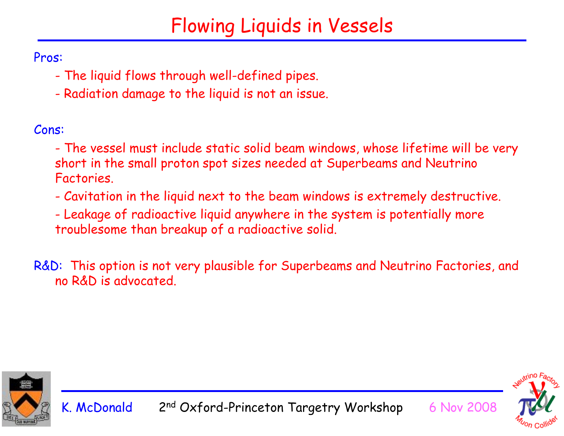## Flowing Liquids in Vessels

Pros:

- -The liquid flows through well-defined pipes.
- -Radiation damage to the liquid is not an issue.

Cons:

- - The vessel must include static solid beam windows, whose lifetime will be very short in the small proton spot sizes needed at Superbeams and Neutrino Factories.
- -Cavitation in the liquid next to the beam windows is extremely destructive.
- - Leakage of radioactive liquid anywhere in the system is potentially more troublesome than breakup of a radioactive solid.
- R&D: This option is not very plausible for Superbeams and Neutrino Factories, and no R&D is advocated.



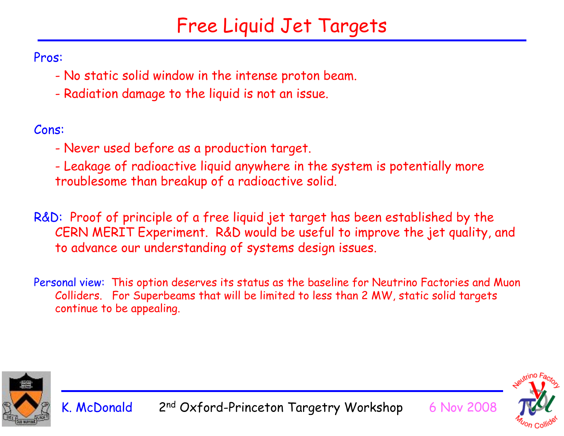## Free Liquid Jet Targets

Pros:

- -No static solid window in the intense proton beam.
- -Radiation damage to the liquid is not an issue.

Cons:

- -Never used before as a production target.
- - Leakage of radioactive liquid anywhere in the system is potentially more troublesome than breakup of a radioactive solid.
- R&D: Proof of principle of a free liquid jet target has been established by the CERN MERIT Experiment. R&D would be useful to improve the jet quality, and to advance our understanding of systems design issues.
- Personal view: This option deserves its status as the baseline for Neutrino Factories and Muon Colliders. For Superbeams that will be limited to less than 2 MW, static solid targets continue to be appealing.